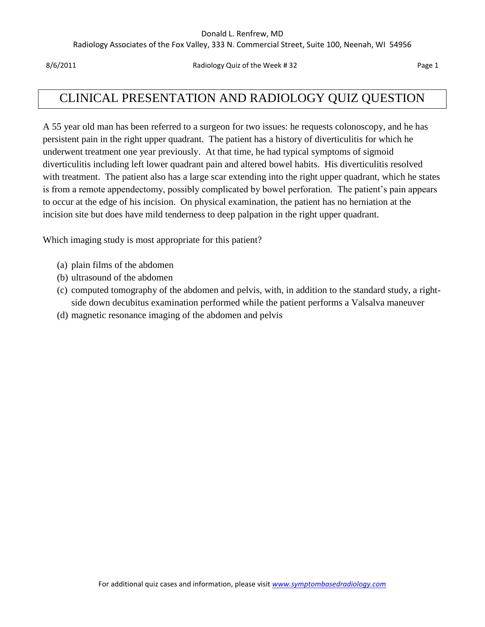#### Donald L. Renfrew, MD

Radiology Associates of the Fox Valley, 333 N. Commercial Street, Suite 100, Neenah, WI 54956

8/6/2011 **Radiology Quiz of the Week # 32** Page 1

## CLINICAL PRESENTATION AND RADIOLOGY QUIZ QUESTION

A 55 year old man has been referred to a surgeon for two issues: he requests colonoscopy, and he has persistent pain in the right upper quadrant. The patient has a history of diverticulitis for which he underwent treatment one year previously. At that time, he had typical symptoms of sigmoid diverticulitis including left lower quadrant pain and altered bowel habits. His diverticulitis resolved with treatment. The patient also has a large scar extending into the right upper quadrant, which he states is from a remote appendectomy, possibly complicated by bowel perforation. The patient's pain appears to occur at the edge of his incision. On physical examination, the patient has no herniation at the incision site but does have mild tenderness to deep palpation in the right upper quadrant.

Which imaging study is most appropriate for this patient?

- (a) plain films of the abdomen
- (b) ultrasound of the abdomen
- (c) computed tomography of the abdomen and pelvis, with, in addition to the standard study, a rightside down decubitus examination performed while the patient performs a Valsalva maneuver
- (d) magnetic resonance imaging of the abdomen and pelvis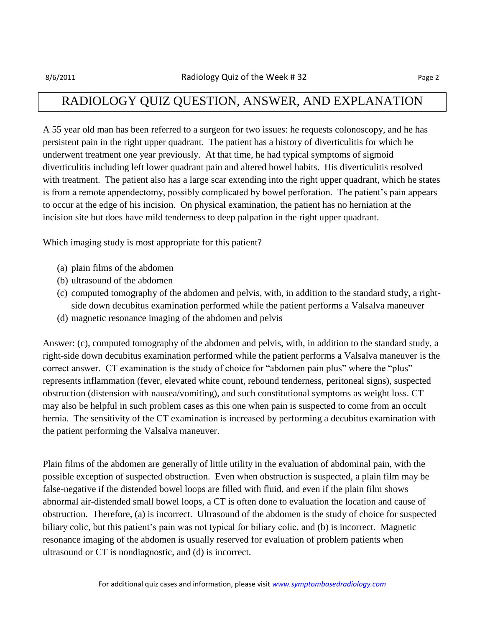### RADIOLOGY QUIZ QUESTION, ANSWER, AND EXPLANATION

A 55 year old man has been referred to a surgeon for two issues: he requests colonoscopy, and he has persistent pain in the right upper quadrant. The patient has a history of diverticulitis for which he underwent treatment one year previously. At that time, he had typical symptoms of sigmoid diverticulitis including left lower quadrant pain and altered bowel habits. His diverticulitis resolved with treatment. The patient also has a large scar extending into the right upper quadrant, which he states is from a remote appendectomy, possibly complicated by bowel perforation. The patient's pain appears to occur at the edge of his incision. On physical examination, the patient has no herniation at the incision site but does have mild tenderness to deep palpation in the right upper quadrant.

Which imaging study is most appropriate for this patient?

- (a) plain films of the abdomen
- (b) ultrasound of the abdomen
- (c) computed tomography of the abdomen and pelvis, with, in addition to the standard study, a rightside down decubitus examination performed while the patient performs a Valsalva maneuver
- (d) magnetic resonance imaging of the abdomen and pelvis

Answer: (c), computed tomography of the abdomen and pelvis, with, in addition to the standard study, a right-side down decubitus examination performed while the patient performs a Valsalva maneuver is the correct answer. CT examination is the study of choice for "abdomen pain plus" where the "plus" represents inflammation (fever, elevated white count, rebound tenderness, peritoneal signs), suspected obstruction (distension with nausea/vomiting), and such constitutional symptoms as weight loss. CT may also be helpful in such problem cases as this one when pain is suspected to come from an occult hernia. The sensitivity of the CT examination is increased by performing a decubitus examination with the patient performing the Valsalva maneuver.

Plain films of the abdomen are generally of little utility in the evaluation of abdominal pain, with the possible exception of suspected obstruction. Even when obstruction is suspected, a plain film may be false-negative if the distended bowel loops are filled with fluid, and even if the plain film shows abnormal air-distended small bowel loops, a CT is often done to evaluation the location and cause of obstruction. Therefore, (a) is incorrect. Ultrasound of the abdomen is the study of choice for suspected biliary colic, but this patient's pain was not typical for biliary colic, and (b) is incorrect. Magnetic resonance imaging of the abdomen is usually reserved for evaluation of problem patients when ultrasound or CT is nondiagnostic, and (d) is incorrect.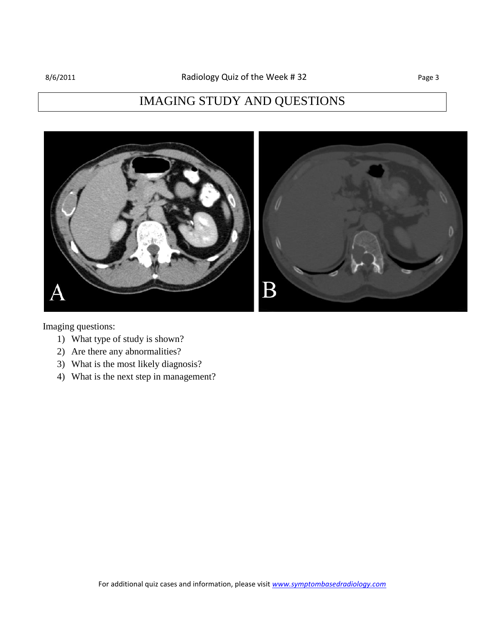# IMAGING STUDY AND QUESTIONS



Imaging questions:

- 1) What type of study is shown?
- 2) Are there any abnormalities?
- 3) What is the most likely diagnosis?
- 4) What is the next step in management?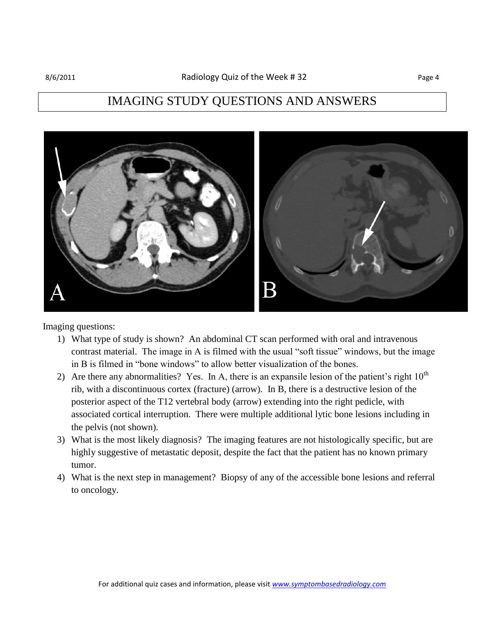### IMAGING STUDY QUESTIONS AND ANSWERS



Imaging questions:

- 1) What type of study is shown? An abdominal CT scan performed with oral and intravenous contrast material. The image in A is filmed with the usual "soft tissue" windows, but the image in B is filmed in "bone windows" to allow better visualization of the bones.
- 2) Are there any abnormalities? Yes. In A, there is an expansile lesion of the patient's right  $10<sup>th</sup>$ rib, with a discontinuous cortex (fracture) (arrow). In B, there is a destructive lesion of the posterior aspect of the T12 vertebral body (arrow) extending into the right pedicle, with associated cortical interruption. There were multiple additional lytic bone lesions including in the pelvis (not shown).
- 3) What is the most likely diagnosis? The imaging features are not histologically specific, but are highly suggestive of metastatic deposit, despite the fact that the patient has no known primary tumor.
- 4) What is the next step in management? Biopsy of any of the accessible bone lesions and referral to oncology.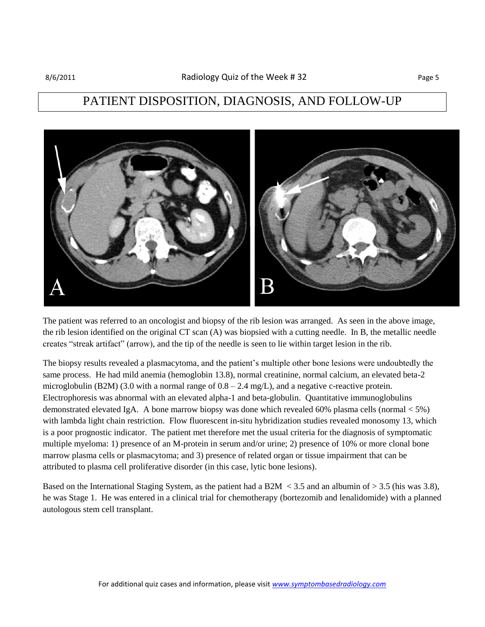### PATIENT DISPOSITION, DIAGNOSIS, AND FOLLOW-UP



The patient was referred to an oncologist and biopsy of the rib lesion was arranged. As seen in the above image, the rib lesion identified on the original CT scan (A) was biopsied with a cutting needle. In B, the metallic needle creates "streak artifact" (arrow), and the tip of the needle is seen to lie within target lesion in the rib.

The biopsy results revealed a plasmacytoma, and the patient's multiple other bone lesions were undoubtedly the same process. He had mild anemia (hemoglobin 13.8), normal creatinine, normal calcium, an elevated beta-2 microglobulin (B2M) (3.0 with a normal range of  $0.8 - 2.4$  mg/L), and a negative c-reactive protein. Electrophoresis was abnormal with an elevated alpha-1 and beta-globulin. Quantitative immunoglobulins demonstrated elevated IgA. A bone marrow biopsy was done which revealed 60% plasma cells (normal < 5%) with lambda light chain restriction. Flow fluorescent in-situ hybridization studies revealed monosomy 13, which is a poor prognostic indicator. The patient met therefore met the usual criteria for the diagnosis of symptomatic multiple myeloma: 1) presence of an M-protein in serum and/or urine; 2) presence of 10% or more clonal bone marrow plasma cells or plasmacytoma; and 3) presence of related organ or tissue impairment that can be attributed to plasma cell proliferative disorder (in this case, lytic bone lesions).

Based on the International Staging System, as the patient had a B2M  $\lt$  3.5 and an albumin of  $>$  3.5 (his was 3.8), he was Stage 1. He was entered in a clinical trial for chemotherapy (bortezomib and lenalidomide) with a planned autologous stem cell transplant.